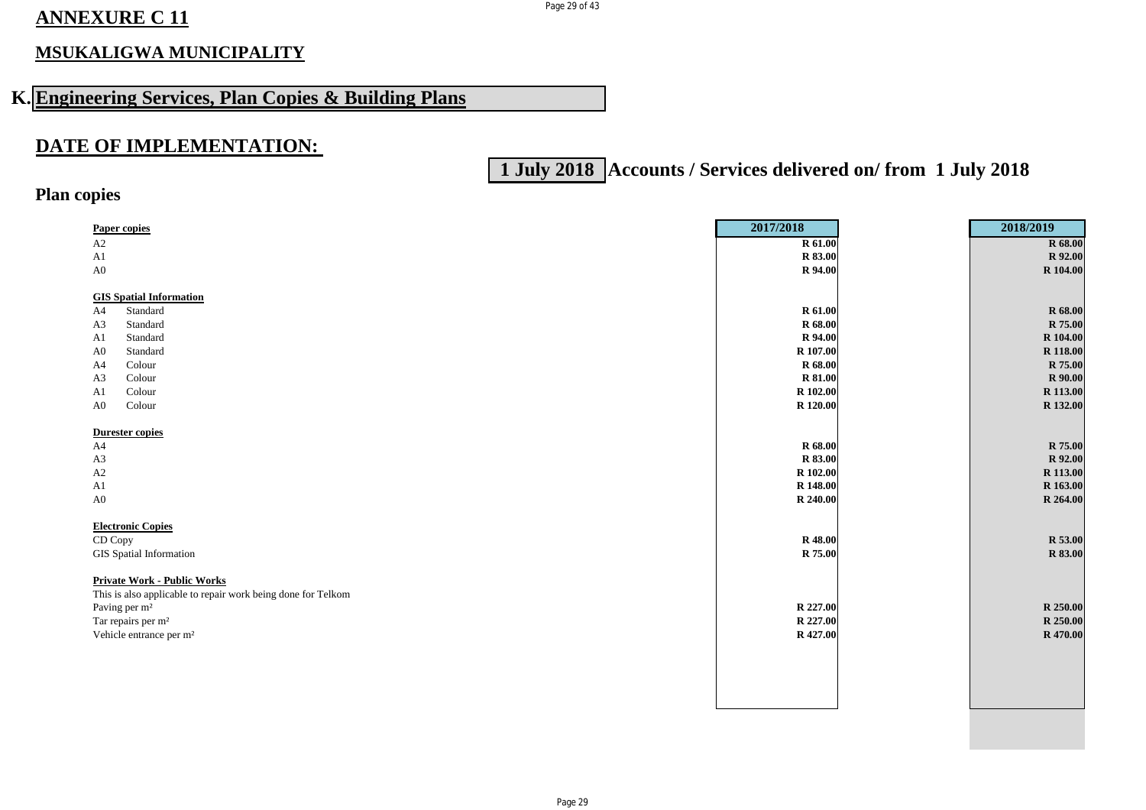## **ANNEXURE C 11**

## **MSUKALIGWA MUNICIPALITY**

# **K. Engineering Services, Plan Copies & Building Plans**

### **DATE OF IMPLEMENTATION:**

# **1 July 2018 Accounts / Services delivered on/ from 1 July 2018**

### **Plan copies**

| <b>Paper copies</b>                                          | 2017/2018 | 2018/2019      |
|--------------------------------------------------------------|-----------|----------------|
| A2                                                           | R 61.00   | R 68.00        |
| A1                                                           | R 83.00   | R 92.00        |
| A0                                                           | R 94.00   | R 104.00       |
|                                                              |           |                |
| <b>GIS Spatial Information</b>                               |           |                |
| A4<br>Standard                                               | R 61.00   | R 68.00        |
| Standard<br>A <sub>3</sub>                                   | R 68.00   | R 75.00        |
| Standard<br>A <sub>1</sub>                                   | R 94.00   | R 104.00       |
| Standard<br>A <sub>0</sub>                                   | R 107.00  | R 118.00       |
| Colour<br>A4                                                 | R 68.00   | R 75.00        |
| Colour<br>A <sub>3</sub>                                     | R 81.00   | R 90.00        |
| Colour<br>A1                                                 | R 102.00  | R 113.00       |
| ${\bf Color}$<br>A <sub>0</sub>                              | R 120.00  | R 132.00       |
|                                                              |           |                |
| <b>Durester copies</b>                                       |           |                |
| A4                                                           | R 68.00   | R 75.00        |
| A3                                                           | R 83.00   | R 92.00        |
| A2                                                           | R 102.00  | R 113.00       |
| ${\rm A}1$                                                   | R 148.00  | R 163.00       |
| A0                                                           | R 240.00  | R 264.00       |
|                                                              |           |                |
| <b>Electronic Copies</b>                                     |           |                |
| CD Copy                                                      | R 48.00   | R 53.00        |
| GIS Spatial Information                                      | R 75.00   | <b>R</b> 83.00 |
|                                                              |           |                |
|                                                              |           |                |
| <b>Private Work - Public Works</b>                           |           |                |
| This is also applicable to repair work being done for Telkom |           |                |
| Paving per m <sup>2</sup>                                    | R 227.00  | R 250.00       |
| Tar repairs per m <sup>2</sup>                               | R 227.00  | R 250.00       |
| Vehicle entrance per m <sup>2</sup>                          | R 427.00  | R 470.00       |
|                                                              |           |                |
|                                                              |           |                |
|                                                              |           |                |
|                                                              |           |                |
|                                                              |           |                |

Page 29 of 43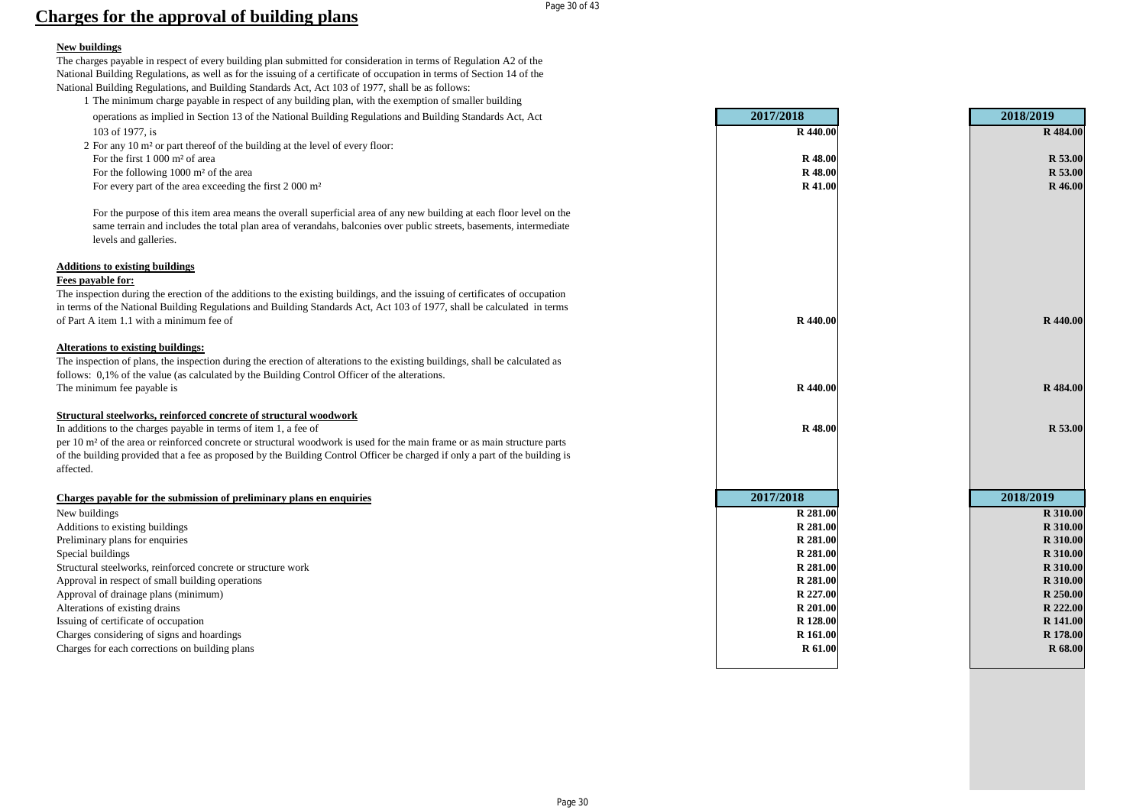#### Page 30 of 43

### **Charges for the approval of building plans**

#### **New buildings**

The charges payable in respect of every building plan submitted for consideration in terms of Regulation A2 of the National Building Regulations, as well as for the issuing of a certificate of occupation in terms of Section 14 of the National Building Regulations, and Building Standards Act, Act 103 of 1977, shall be as follows:

- 1 The minimum charge payable in respect of any building plan, with the exemption of smaller building operations as implied in Section 13 of the National Building Regulations and Building Standards Act, Act **2017/2018 2018/2019** 103 of 1977, is **R 440.00 R 484.00**
- 2 For any 10 m² or part thereof of the building at the level of every floor:
- For the first 1 000 m<sup>2</sup> of area
- For the following 1000 m<sup>2</sup> of the area
- For every part of the area exceeding the first 2 000 m<sup>2</sup>

#### **Additions to existing buildings**

#### **Fees payable for:**

#### **Alterations to existing buildings:**

#### **Structural steelworks, reinforced concrete of structural woodwork**

#### **Charges payable for the submission of preliminary plans en enquiries 2017/2018 2018/2019**

| operations as implied in Section 13 of the National Building Regulations and Building Standards Act, Act                                    | 2017/2018      | 2018/2019      |
|---------------------------------------------------------------------------------------------------------------------------------------------|----------------|----------------|
| 103 of 1977, is                                                                                                                             | R 440.00       | R 484.00       |
| 2 For any 10 m <sup>2</sup> or part thereof of the building at the level of every floor:                                                    |                |                |
| For the first 1 000 m <sup>2</sup> of area                                                                                                  | <b>R</b> 48.00 | <b>R</b> 53.00 |
| For the following $1000 \text{ m}^2$ of the area                                                                                            | R 48.00        | R 53.00        |
| For every part of the area exceeding the first 2 000 m <sup>2</sup>                                                                         | R 41.00        | <b>R</b> 46.00 |
| For the purpose of this item area means the overall superficial area of any new building at each floor level on the                         |                |                |
| same terrain and includes the total plan area of verandahs, balconies over public streets, basements, intermediate<br>levels and galleries. |                |                |
| <b>Additions to existing buildings</b>                                                                                                      |                |                |
| Fees payable for:                                                                                                                           |                |                |
| The inspection during the erection of the additions to the existing buildings, and the issuing of certificates of occupation                |                |                |
| in terms of the National Building Regulations and Building Standards Act, Act 103 of 1977, shall be calculated in terms                     |                |                |
| of Part A item 1.1 with a minimum fee of                                                                                                    | R 440.00       | R 440.00       |
| <b>Alterations to existing buildings:</b>                                                                                                   |                |                |
| The inspection of plans, the inspection during the erection of alterations to the existing buildings, shall be calculated as                |                |                |
| follows: 0,1% of the value (as calculated by the Building Control Officer of the alterations.                                               |                |                |
| The minimum fee payable is                                                                                                                  | R 440.00       | R 484.00       |
| Structural steelworks, reinforced concrete of structural woodwork                                                                           |                |                |
| In additions to the charges payable in terms of item 1, a fee of                                                                            | R 48.00        | <b>R</b> 53.00 |
| per 10 m <sup>2</sup> of the area or reinforced concrete or structural woodwork is used for the main frame or as main structure parts       |                |                |
| of the building provided that a fee as proposed by the Building Control Officer be charged if only a part of the building is                |                |                |
| affected.                                                                                                                                   |                |                |
| Charges payable for the submission of preliminary plans en enquiries                                                                        | 2017/2018      | 2018/2019      |
| New buildings                                                                                                                               | R 281.00       | R 310.00       |
| Additions to existing buildings                                                                                                             | R 281.00       | R 310.00       |
| Preliminary plans for enquiries                                                                                                             | R 281.00       | R 310.00       |
| Special buildings                                                                                                                           | R 281.00       | R 310.00       |
| Structural steelworks, reinforced concrete or structure work                                                                                | R 281.00       | R 310.00       |
| Approval in respect of small building operations                                                                                            | R 281.00       | R 310.00       |
| Approval of drainage plans (minimum)                                                                                                        | R 227.00       | R 250.00       |
| Alterations of existing drains                                                                                                              | R 201.00       | R 222.00       |
| Issuing of certificate of occupation                                                                                                        | R 128.00       | R 141.00       |
| Charges considering of signs and hoardings                                                                                                  | R 161.00       | R 178.00       |
| Charges for each corrections on building plans                                                                                              | R 61.00        | <b>R</b> 68.00 |
|                                                                                                                                             |                |                |